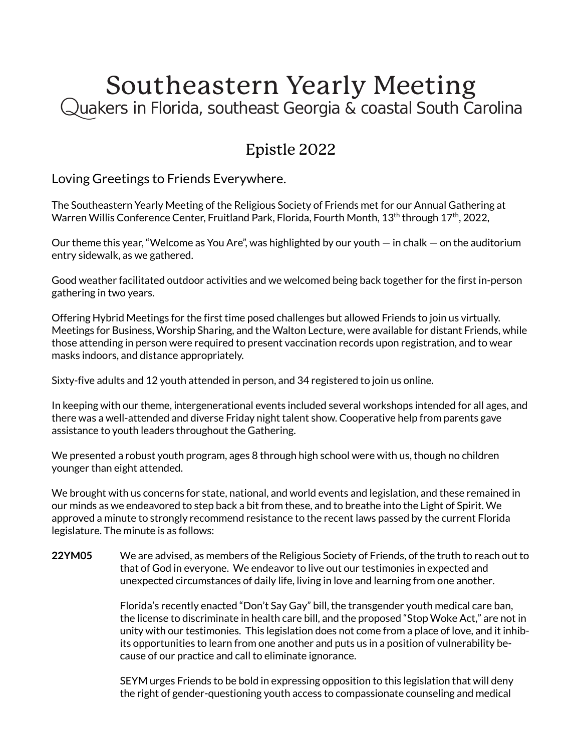## Southeastern Yearly Meeting<br>Quakers in Florida, southeast Georgia & coastal South Carolina

## Epistle 2022

Loving Greetings to Friends Everywhere.

The Southeastern Yearly Meeting of the Religious Society of Friends met for our Annual Gathering at Warren Willis Conference Center, Fruitland Park, Florida, Fourth Month, 13<sup>th</sup> through 17<sup>th</sup>, 2022,

Our theme this year, "Welcome as You Are", was highlighted by our youth — in chalk — on the auditorium entry sidewalk, as we gathered.

Good weather facilitated outdoor activities and we welcomed being back together for the first in-person gathering in two years.

Offering Hybrid Meetings for the first time posed challenges but allowed Friends to join us virtually. Meetings for Business, Worship Sharing, and the Walton Lecture, were available for distant Friends, while those attending in person were required to present vaccination records upon registration, and to wear masks indoors, and distance appropriately.

Sixty-five adults and 12 youth attended in person, and 34 registered to join us online.

In keeping with our theme, intergenerational events included several workshops intended for all ages, and there was a well-attended and diverse Friday night talent show. Cooperative help from parents gave assistance to youth leaders throughout the Gathering.

We presented a robust youth program, ages 8 through high school were with us, though no children younger than eight attended.

We brought with us concerns for state, national, and world events and legislation, and these remained in our minds as we endeavored to step back a bit from these, and to breathe into the Light of Spirit. We approved a minute to strongly recommend resistance to the recent laws passed by the current Florida legislature. The minute is as follows:

**22YM05** We are advised, as members of the Religious Society of Friends, of the truth to reach out to that of God in everyone. We endeavor to live out our testimonies in expected and unexpected circumstances of daily life, living in love and learning from one another.

> Florida's recently enacted "Don't Say Gay" bill, the transgender youth medical care ban, the license to discriminate in health care bill, and the proposed "Stop Woke Act," are not in unity with our testimonies. This legislation does not come from a place of love, and it inhibits opportunities to learn from one another and puts us in a position of vulnerability because of our practice and call to eliminate ignorance.

SEYM urges Friends to be bold in expressing opposition to this legislation that will deny the right of gender-questioning youth access to compassionate counseling and medical